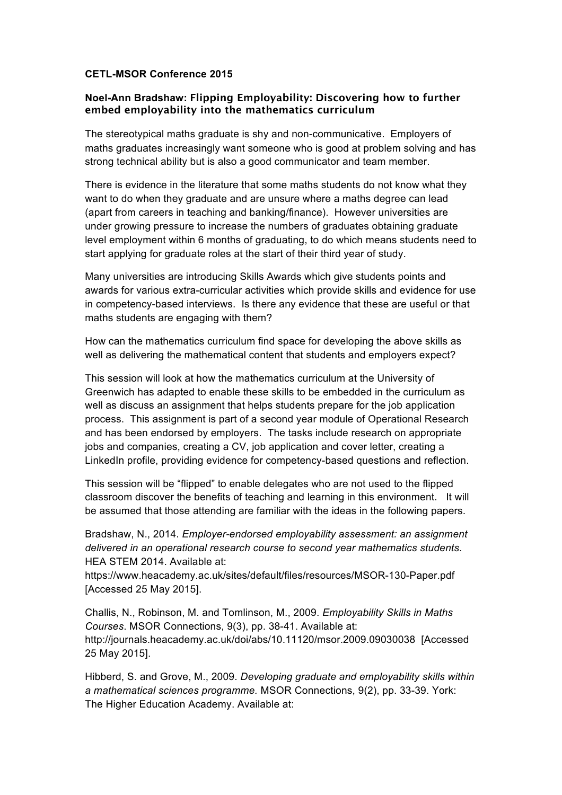## **CETL-MSOR Conference 2015**

## **Noel-Ann Bradshaw: Flipping Employability: Discovering how to further embed employability into the mathematics curriculum**

The stereotypical maths graduate is shy and non-communicative. Employers of maths graduates increasingly want someone who is good at problem solving and has strong technical ability but is also a good communicator and team member.

There is evidence in the literature that some maths students do not know what they want to do when they graduate and are unsure where a maths degree can lead (apart from careers in teaching and banking/finance). However universities are under growing pressure to increase the numbers of graduates obtaining graduate level employment within 6 months of graduating, to do which means students need to start applying for graduate roles at the start of their third year of study.

Many universities are introducing Skills Awards which give students points and awards for various extra-curricular activities which provide skills and evidence for use in competency-based interviews. Is there any evidence that these are useful or that maths students are engaging with them?

How can the mathematics curriculum find space for developing the above skills as well as delivering the mathematical content that students and employers expect?

This session will look at how the mathematics curriculum at the University of Greenwich has adapted to enable these skills to be embedded in the curriculum as well as discuss an assignment that helps students prepare for the job application process. This assignment is part of a second year module of Operational Research and has been endorsed by employers. The tasks include research on appropriate jobs and companies, creating a CV, job application and cover letter, creating a LinkedIn profile, providing evidence for competency-based questions and reflection.

This session will be "flipped" to enable delegates who are not used to the flipped classroom discover the benefits of teaching and learning in this environment. It will be assumed that those attending are familiar with the ideas in the following papers.

Bradshaw, N., 2014. *Employer-endorsed employability assessment: an assignment delivered in an operational research course to second year mathematics students*. HEA STEM 2014. Available at:

https://www.heacademy.ac.uk/sites/default/files/resources/MSOR-130-Paper.pdf [Accessed 25 May 2015].

Challis, N., Robinson, M. and Tomlinson, M., 2009. *Employability Skills in Maths Courses*. MSOR Connections, 9(3), pp. 38-41. Available at: http://journals.heacademy.ac.uk/doi/abs/10.11120/msor.2009.09030038 [Accessed 25 May 2015].

Hibberd, S. and Grove, M., 2009. *Developing graduate and employability skills within a mathematical sciences programme.* MSOR Connections, 9(2), pp. 33-39. York: The Higher Education Academy. Available at: